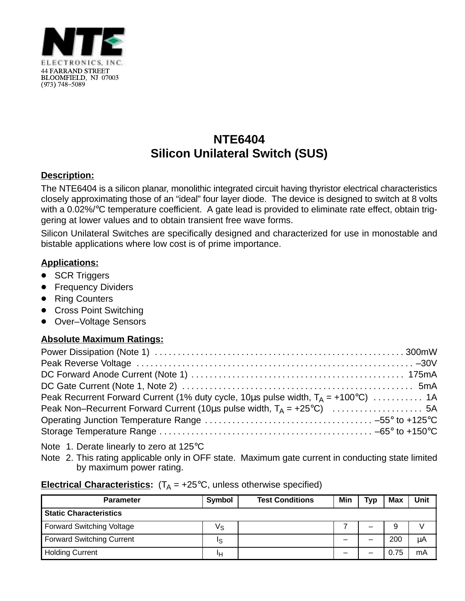

# **NTE6404 Silicon Unilateral Switch (SUS)**

### **Description:**

The NTE6404 is a silicon planar, monolithic integrated circuit having thyristor electrical characteristics closely approximating those of an "ideal" four layer diode. The device is designed to switch at 8 volts with a 0.02%/°C temperature coefficient. A gate lead is provided to eliminate rate effect, obtain triggering at lower values and to obtain transient free wave forms.

Silicon Unilateral Switches are specifically designed and characterized for use in monostable and bistable applications where low cost is of prime importance.

## **Applications:**

- SCR Triggers
- **•** Frequency Dividers
- Ring Counters
- Cross Point Switching
- Over-Voltage Sensors

### **Absolute Maximum Ratings:**

| Peak Recurrent Forward Current (1% duty cycle, 10us pulse width, $T_A = +100^{\circ}C$ )  1A |  |
|----------------------------------------------------------------------------------------------|--|
|                                                                                              |  |
|                                                                                              |  |
|                                                                                              |  |

- Note 1. Derate linearly to zero at 125°C
- Note 2. This rating applicable only in OFF state. Maximum gate current in conducting state limited by maximum power rating.

| <b>Electrical Characteristics:</b> $(T_A = +25^{\circ}C,$ unless otherwise specified) |
|---------------------------------------------------------------------------------------|
|                                                                                       |

| <b>Parameter</b>                 | Symbol | <b>Test Conditions</b> | Min | <b>Typ</b> | Max  | Unit |
|----------------------------------|--------|------------------------|-----|------------|------|------|
| <b>Static Characteristics</b>    |        |                        |     |            |      |      |
| <b>Forward Switching Voltage</b> | Vs     |                        |     | –          |      |      |
| <b>Forward Switching Current</b> | ΙS     |                        | –   |            | 200  | μA   |
| <b>Holding Current</b>           | ١н     |                        | –   |            | 0.75 | mA   |